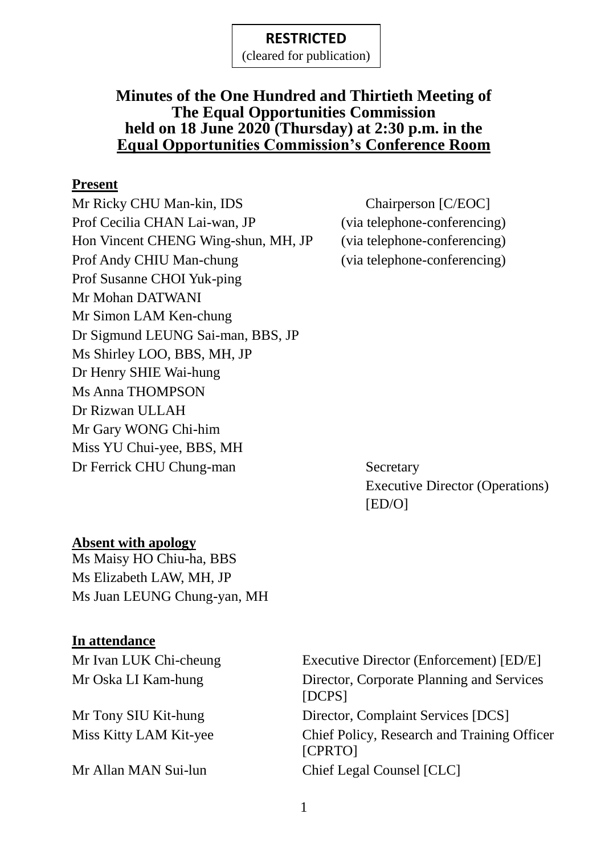(cleared for publication)

### **Minutes of the One Hundred and Thirtieth Meeting of The Equal Opportunities Commission held on 18 June 2020 (Thursday) at 2:30 p.m. in the Equal Opportunities Commission's Conference Room**

#### **Present**

Mr Ricky CHU Man-kin, IDS Chairperson [C/EOC] Prof Cecilia CHAN Lai-wan, JP (via telephone-conferencing) Hon Vincent CHENG Wing-shun, MH, JP (via telephone-conferencing) Prof Andy CHIU Man-chung (via telephone-conferencing) Prof Susanne CHOI Yuk-ping Mr Mohan DATWANI Mr Simon LAM Ken-chung Dr Sigmund LEUNG Sai-man, BBS, JP Ms Shirley LOO, BBS, MH, JP Dr Henry SHIE Wai-hung Ms Anna THOMPSON Dr Rizwan ULLAH Mr Gary WONG Chi-him Miss YU Chui-yee, BBS, MH Dr Ferrick CHU Chung-man Secretary

Executive Director (Operations) [ED/O]

#### **Absent with apology**

Ms Maisy HO Chiu-ha, BBS Ms Elizabeth LAW, MH, JP Ms Juan LEUNG Chung-yan, MH

#### **In attendance**

Mr Ivan LUK Chi-cheung Executive Director (Enforcement) [ED/E] Mr Oska LI Kam-hung Director, Corporate Planning and Services [DCPS] Mr Tony SIU Kit-hung Director, Complaint Services [DCS] Miss Kitty LAM Kit-yee Chief Policy, Research and Training Officer [CPRTO] Mr Allan MAN Sui-lun Chief Legal Counsel [CLC]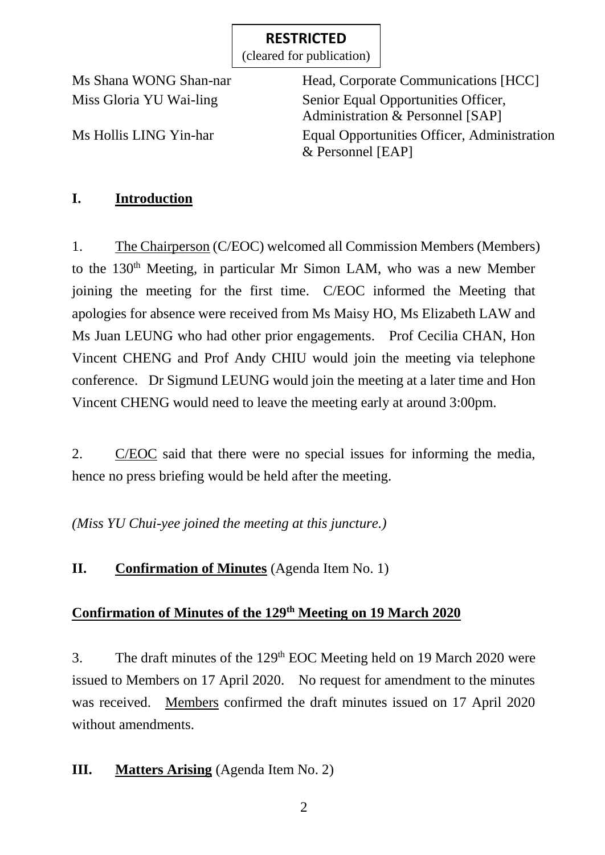(cleared for publication)

Ms Shana WONG Shan-nar Head, Corporate Communications [HCC] Miss Gloria YU Wai-ling Senior Equal Opportunities Officer, Administration & Personnel [SAP] Ms Hollis LING Yin-har Equal Opportunities Officer, Administration & Personnel [EAP]

# **I. Introduction**

1. The Chairperson (C/EOC) welcomed all Commission Members (Members) to the 130<sup>th</sup> Meeting, in particular Mr Simon LAM, who was a new Member joining the meeting for the first time. C/EOC informed the Meeting that apologies for absence were received from Ms Maisy HO, Ms Elizabeth LAW and Ms Juan LEUNG who had other prior engagements. Prof Cecilia CHAN, Hon Vincent CHENG and Prof Andy CHIU would join the meeting via telephone conference. Dr Sigmund LEUNG would join the meeting at a later time and Hon Vincent CHENG would need to leave the meeting early at around 3:00pm.

2. C/EOC said that there were no special issues for informing the media, hence no press briefing would be held after the meeting.

*(Miss YU Chui-yee joined the meeting at this juncture.)*

# **II. Confirmation of Minutes** (Agenda Item No. 1)

# **Confirmation of Minutes of the 129<sup>th</sup> Meeting on 19 March 2020**

3. The draft minutes of the 129<sup>th</sup> EOC Meeting held on 19 March 2020 were issued to Members on 17 April 2020. No request for amendment to the minutes was received. Members confirmed the draft minutes issued on 17 April 2020 without amendments.

# **III. Matters Arising** (Agenda Item No. 2)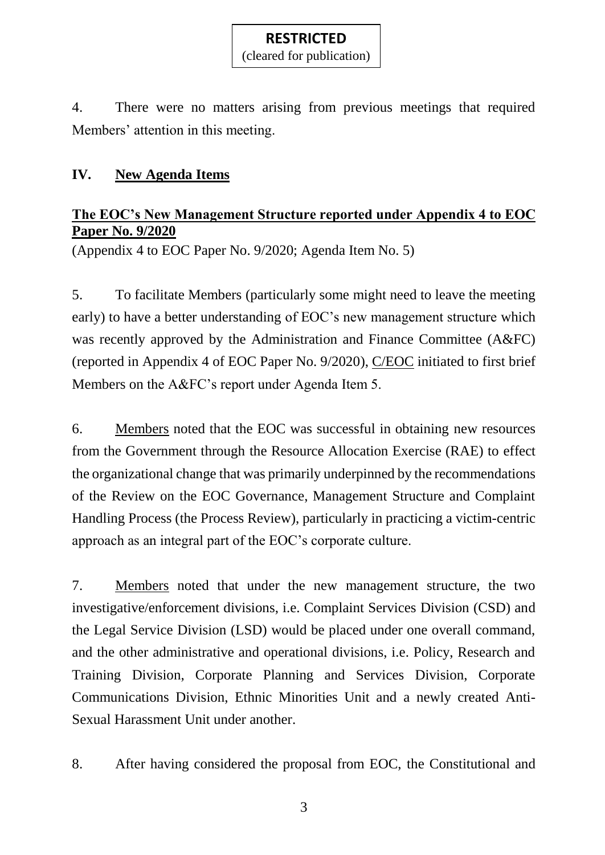4. There were no matters arising from previous meetings that required Members' attention in this meeting.

## **IV. New Agenda Items**

# **The EOC's New Management Structure reported under Appendix 4 to EOC Paper No. 9/2020**

(Appendix 4 to EOC Paper No. 9/2020; Agenda Item No. 5)

5. To facilitate Members (particularly some might need to leave the meeting early) to have a better understanding of EOC's new management structure which was recently approved by the Administration and Finance Committee (A&FC) (reported in Appendix 4 of EOC Paper No. 9/2020), C/EOC initiated to first brief Members on the A&FC's report under Agenda Item 5.

6. Members noted that the EOC was successful in obtaining new resources from the Government through the Resource Allocation Exercise (RAE) to effect the organizational change that was primarily underpinned by the recommendations of the Review on the EOC Governance, Management Structure and Complaint Handling Process (the Process Review), particularly in practicing a victim-centric approach as an integral part of the EOC's corporate culture.

7. Members noted that under the new management structure, the two investigative/enforcement divisions, i.e. Complaint Services Division (CSD) and the Legal Service Division (LSD) would be placed under one overall command, and the other administrative and operational divisions, i.e. Policy, Research and Training Division, Corporate Planning and Services Division, Corporate Communications Division, Ethnic Minorities Unit and a newly created Anti-Sexual Harassment Unit under another.

8. After having considered the proposal from EOC, the Constitutional and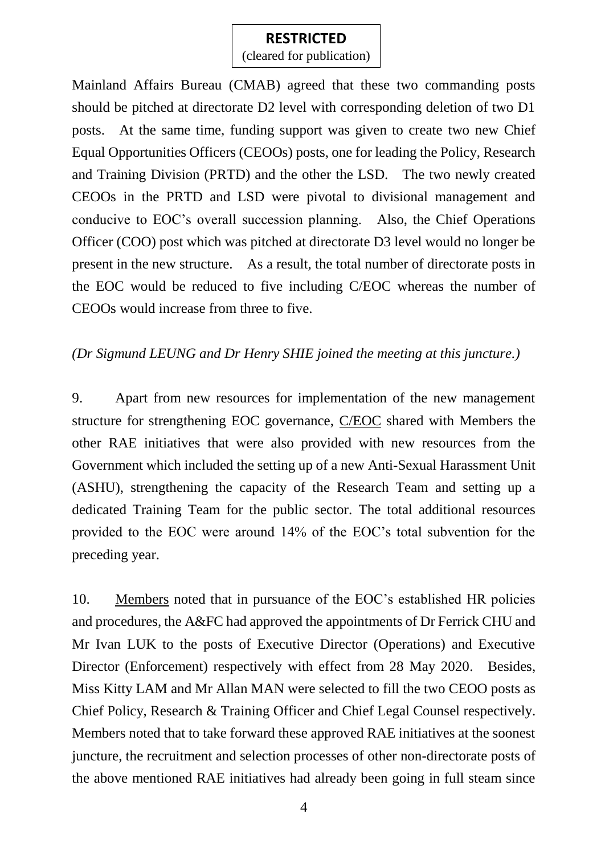(cleared for publication)

Mainland Affairs Bureau (CMAB) agreed that these two commanding posts should be pitched at directorate D2 level with corresponding deletion of two D1 posts. At the same time, funding support was given to create two new Chief Equal Opportunities Officers (CEOOs) posts, one for leading the Policy, Research and Training Division (PRTD) and the other the LSD. The two newly created CEOOs in the PRTD and LSD were pivotal to divisional management and conducive to EOC's overall succession planning. Also, the Chief Operations Officer (COO) post which was pitched at directorate D3 level would no longer be present in the new structure. As a result, the total number of directorate posts in the EOC would be reduced to five including C/EOC whereas the number of CEOOs would increase from three to five.

### *(Dr Sigmund LEUNG and Dr Henry SHIE joined the meeting at this juncture.)*

9. Apart from new resources for implementation of the new management structure for strengthening EOC governance, C/EOC shared with Members the other RAE initiatives that were also provided with new resources from the Government which included the setting up of a new Anti-Sexual Harassment Unit (ASHU), strengthening the capacity of the Research Team and setting up a dedicated Training Team for the public sector. The total additional resources provided to the EOC were around 14% of the EOC's total subvention for the preceding year.

10. Members noted that in pursuance of the EOC's established HR policies and procedures, the A&FC had approved the appointments of Dr Ferrick CHU and Mr Ivan LUK to the posts of Executive Director (Operations) and Executive Director (Enforcement) respectively with effect from 28 May 2020. Besides, Miss Kitty LAM and Mr Allan MAN were selected to fill the two CEOO posts as Chief Policy, Research & Training Officer and Chief Legal Counsel respectively. Members noted that to take forward these approved RAE initiatives at the soonest juncture, the recruitment and selection processes of other non-directorate posts of the above mentioned RAE initiatives had already been going in full steam since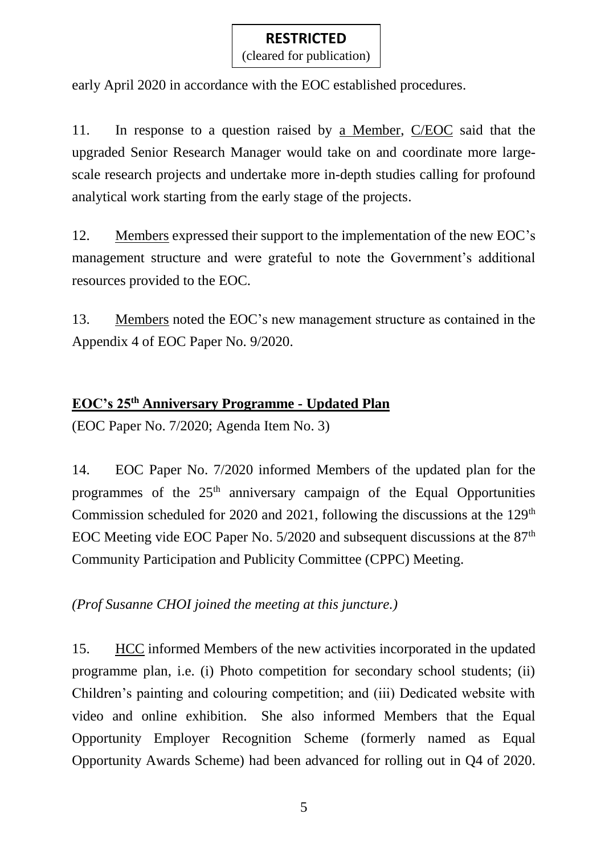(cleared for publication)

early April 2020 in accordance with the EOC established procedures.

11. In response to a question raised by <u>a Member</u>, C/EOC said that the upgraded Senior Research Manager would take on and coordinate more largescale research projects and undertake more in-depth studies calling for profound analytical work starting from the early stage of the projects.

12. Members expressed their support to the implementation of the new EOC's management structure and were grateful to note the Government's additional resources provided to the EOC.

13. Members noted the EOC's new management structure as contained in the Appendix 4 of EOC Paper No. 9/2020.

## **EOC's 25th Anniversary Programme - Updated Plan**

(EOC Paper No. 7/2020; Agenda Item No. 3)

14. EOC Paper No. 7/2020 informed Members of the updated plan for the programmes of the  $25<sup>th</sup>$  anniversary campaign of the Equal Opportunities Commission scheduled for 2020 and 2021, following the discussions at the  $129<sup>th</sup>$ EOC Meeting vide EOC Paper No.  $5/2020$  and subsequent discussions at the  $87<sup>th</sup>$ Community Participation and Publicity Committee (CPPC) Meeting.

*(Prof Susanne CHOI joined the meeting at this juncture.)*

15. HCC informed Members of the new activities incorporated in the updated programme plan, i.e. (i) Photo competition for secondary school students; (ii) Children's painting and colouring competition; and (iii) Dedicated website with video and online exhibition. She also informed Members that the Equal Opportunity Employer Recognition Scheme (formerly named as Equal Opportunity Awards Scheme) had been advanced for rolling out in Q4 of 2020.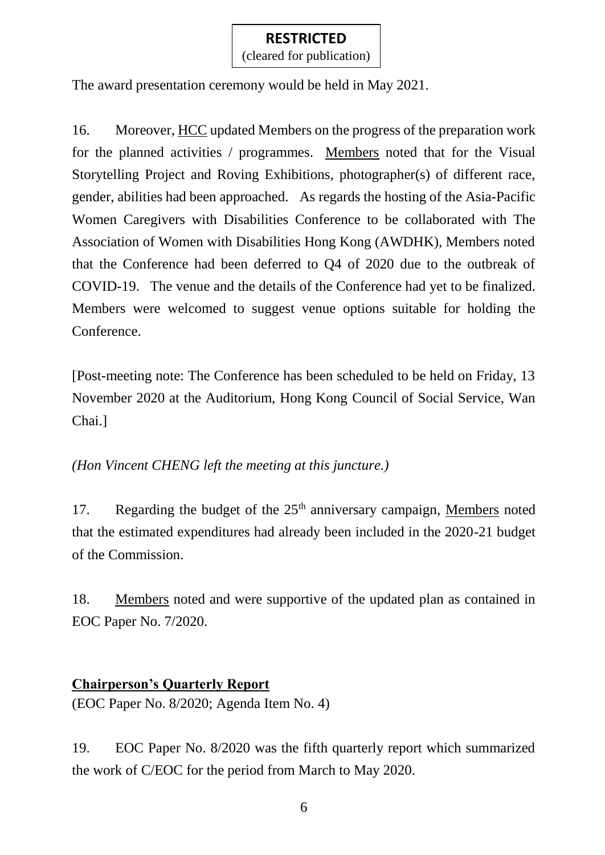(cleared for publication)

The award presentation ceremony would be held in May 2021.

16. Moreover, HCC updated Members on the progress of the preparation work for the planned activities / programmes. Members noted that for the Visual Storytelling Project and Roving Exhibitions, photographer(s) of different race, gender, abilities had been approached. As regards the hosting of the Asia-Pacific Women Caregivers with Disabilities Conference to be collaborated with The Association of Women with Disabilities Hong Kong (AWDHK), Members noted that the Conference had been deferred to Q4 of 2020 due to the outbreak of COVID-19. The venue and the details of the Conference had yet to be finalized. Members were welcomed to suggest venue options suitable for holding the Conference.

[Post-meeting note: The Conference has been scheduled to be held on Friday, 13 November 2020 at the Auditorium, Hong Kong Council of Social Service, Wan Chai.]

*(Hon Vincent CHENG left the meeting at this juncture.)*

17. Regarding the budget of the 25<sup>th</sup> anniversary campaign, Members noted that the estimated expenditures had already been included in the 2020-21 budget of the Commission.

18. Members noted and were supportive of the updated plan as contained in EOC Paper No. 7/2020.

### **Chairperson's Quarterly Report**

(EOC Paper No. 8/2020; Agenda Item No. 4)

19. EOC Paper No. 8/2020 was the fifth quarterly report which summarized the work of C/EOC for the period from March to May 2020.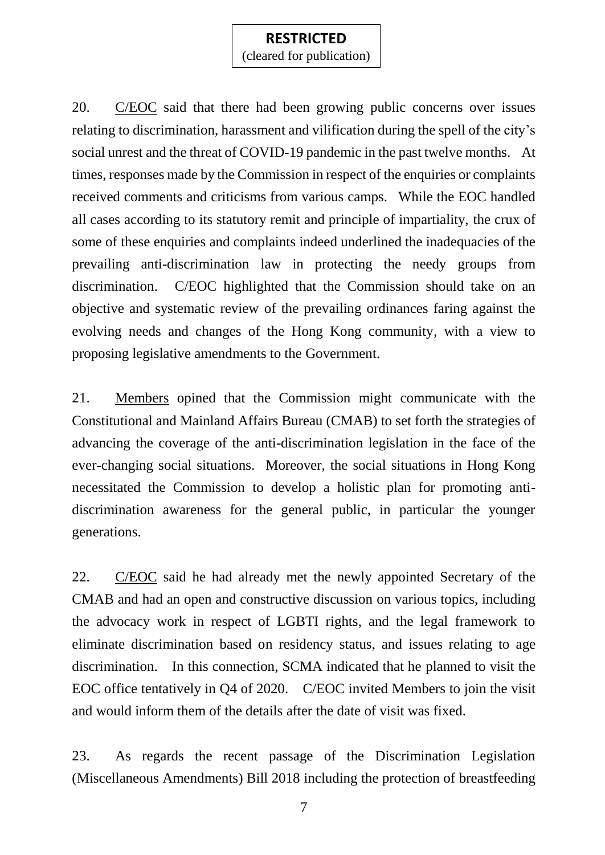(cleared for publication)

20. C/EOC said that there had been growing public concerns over issues relating to discrimination, harassment and vilification during the spell of the city's social unrest and the threat of COVID-19 pandemic in the past twelve months. At times, responses made by the Commission in respect of the enquiries or complaints received comments and criticisms from various camps. While the EOC handled all cases according to its statutory remit and principle of impartiality, the crux of some of these enquiries and complaints indeed underlined the inadequacies of the prevailing anti-discrimination law in protecting the needy groups from discrimination. C/EOC highlighted that the Commission should take on an objective and systematic review of the prevailing ordinances faring against the evolving needs and changes of the Hong Kong community, with a view to proposing legislative amendments to the Government.

21. Members opined that the Commission might communicate with the Constitutional and Mainland Affairs Bureau (CMAB) to set forth the strategies of advancing the coverage of the anti-discrimination legislation in the face of the ever-changing social situations. Moreover, the social situations in Hong Kong necessitated the Commission to develop a holistic plan for promoting antidiscrimination awareness for the general public, in particular the younger generations.

22. C/EOC said he had already met the newly appointed Secretary of the CMAB and had an open and constructive discussion on various topics, including the advocacy work in respect of LGBTI rights, and the legal framework to eliminate discrimination based on residency status, and issues relating to age discrimination. In this connection, SCMA indicated that he planned to visit the EOC office tentatively in Q4 of 2020. C/EOC invited Members to join the visit and would inform them of the details after the date of visit was fixed.

23. As regards the recent passage of the Discrimination Legislation (Miscellaneous Amendments) Bill 2018 including the protection of breastfeeding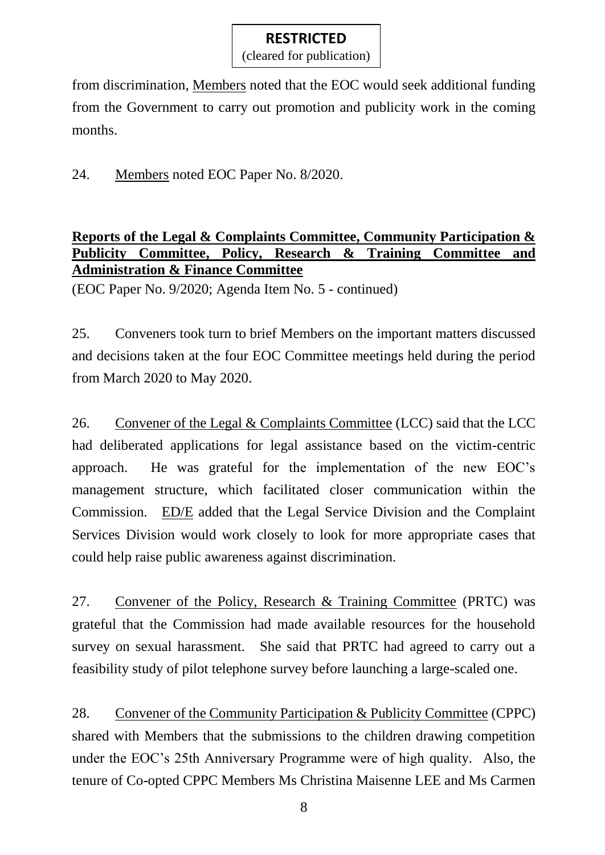(cleared for publication)

from discrimination, Members noted that the EOC would seek additional funding from the Government to carry out promotion and publicity work in the coming months.

24. Members noted EOC Paper No. 8/2020.

## **Reports of the Legal & Complaints Committee, Community Participation & Publicity Committee, Policy, Research & Training Committee and Administration & Finance Committee**

(EOC Paper No. 9/2020; Agenda Item No. 5 - continued)

25. Conveners took turn to brief Members on the important matters discussed and decisions taken at the four EOC Committee meetings held during the period from March 2020 to May 2020.

26. Convener of the Legal & Complaints Committee (LCC) said that the LCC had deliberated applications for legal assistance based on the victim-centric approach. He was grateful for the implementation of the new EOC's management structure, which facilitated closer communication within the Commission. ED/E added that the Legal Service Division and the Complaint Services Division would work closely to look for more appropriate cases that could help raise public awareness against discrimination.

27. Convener of the Policy, Research & Training Committee (PRTC) was grateful that the Commission had made available resources for the household survey on sexual harassment. She said that PRTC had agreed to carry out a feasibility study of pilot telephone survey before launching a large-scaled one.

28. Convener of the Community Participation & Publicity Committee (CPPC) shared with Members that the submissions to the children drawing competition under the EOC's 25th Anniversary Programme were of high quality. Also, the tenure of Co-opted CPPC Members Ms Christina Maisenne LEE and Ms Carmen